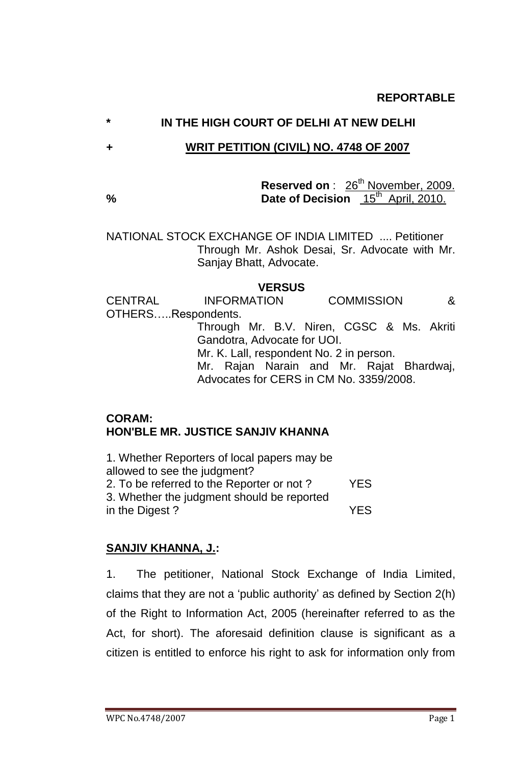# **IN THE HIGH COURT OF DELHI AT NEW DELHI**

### **+ WRIT PETITION (CIVIL) NO. 4748 OF 2007**

### **Reserved on : 26<sup>th</sup> November, 2009. % Date of Decision** 15th April, 2010.

NATIONAL STOCK EXCHANGE OF INDIA LIMITED .... Petitioner Through Mr. Ashok Desai, Sr. Advocate with Mr. Sanjay Bhatt, Advocate.

#### **VERSUS**

CENTRAL INFORMATION COMMISSION & OTHERS…..Respondents. Through Mr. B.V. Niren, CGSC & Ms. Akriti Gandotra, Advocate for UOI. Mr. K. Lall, respondent No. 2 in person. Mr. Rajan Narain and Mr. Rajat Bhardwaj, Advocates for CERS in CM No. 3359/2008.

## **CORAM: HON'BLE MR. JUSTICE SANJIV KHANNA**

1. Whether Reporters of local papers may be allowed to see the judgment? 2. To be referred to the Reporter or not ? YES 3. Whether the judgment should be reported in the Digest ? YES

## **SANJIV KHANNA, J.:**

1. The petitioner, National Stock Exchange of India Limited, claims that they are not a 'public authority' as defined by Section  $2(h)$ of the Right to Information Act, 2005 (hereinafter referred to as the Act, for short). The aforesaid definition clause is significant as a citizen is entitled to enforce his right to ask for information only from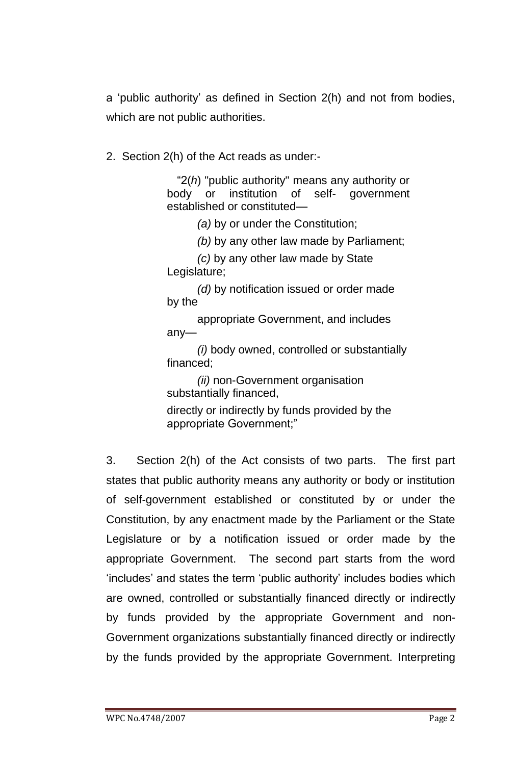a 'public authority' as defined in Section 2(h) and not from bodies, which are not public authorities.

2. Section 2(h) of the Act reads as under:-

―2(*h*) "public authority" means any authority or body or institution of self- government established or constituted—

*(a)* by or under the Constitution;

*(b)* by any other law made by Parliament;

*(c)* by any other law made by State Legislature;

*(d)* by notification issued or order made by the

appropriate Government, and includes any—

*(i)* body owned, controlled or substantially financed;

*(ii)* non-Government organisation substantially financed,

directly or indirectly by funds provided by the appropriate Government;"

3. Section 2(h) of the Act consists of two parts. The first part states that public authority means any authority or body or institution of self-government established or constituted by or under the Constitution, by any enactment made by the Parliament or the State Legislature or by a notification issued or order made by the appropriate Government. The second part starts from the word ‗includes' and states the term ‗public authority' includes bodies which are owned, controlled or substantially financed directly or indirectly by funds provided by the appropriate Government and non-Government organizations substantially financed directly or indirectly by the funds provided by the appropriate Government. Interpreting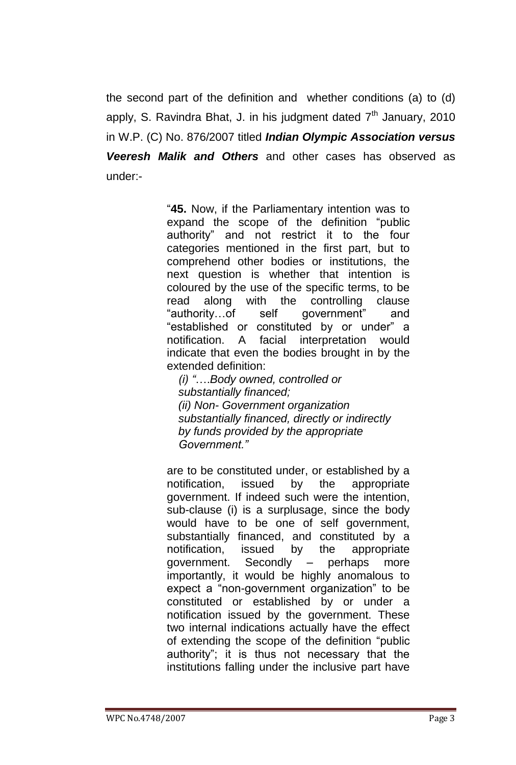the second part of the definition and whether conditions (a) to (d) apply, S. Ravindra Bhat, J. in his judgment dated  $7<sup>th</sup>$  January, 2010 in W.P. (C) No. 876/2007 titled *Indian Olympic Association versus Veeresh Malik and Others* and other cases has observed as under:-

> ―**45.** Now, if the Parliamentary intention was to expand the scope of the definition "public authority‖ and not restrict it to the four categories mentioned in the first part, but to comprehend other bodies or institutions, the next question is whether that intention is coloured by the use of the specific terms, to be read along with the controlling clause "authority...of self government" and "established or constituted by or under" a notification. A facial interpretation would indicate that even the bodies brought in by the extended definition:

*(i) "*….*Body owned, controlled or substantially financed; (ii) Non- Government organization substantially financed, directly or indirectly by funds provided by the appropriate Government."*

are to be constituted under, or established by a notification, issued by the appropriate government. If indeed such were the intention, sub-clause (i) is a surplusage, since the body would have to be one of self government, substantially financed, and constituted by a notification, issued by the appropriate government. Secondly – perhaps more importantly, it would be highly anomalous to expect a "non-government organization" to be constituted or established by or under a notification issued by the government. These two internal indications actually have the effect of extending the scope of the definition "public authority"; it is thus not necessary that the institutions falling under the inclusive part have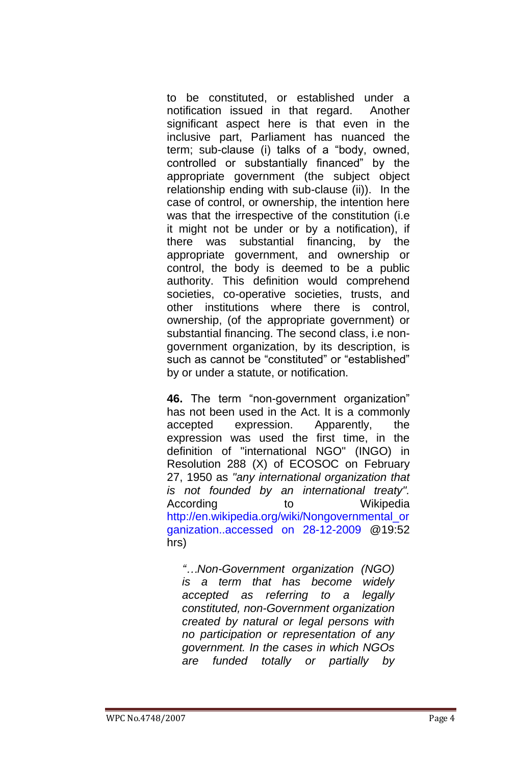to be constituted, or established under a notification issued in that regard. Another significant aspect here is that even in the inclusive part, Parliament has nuanced the term; sub-clause (i) talks of a "body, owned, controlled or substantially financed" by the appropriate government (the subject object relationship ending with sub-clause (ii)). In the case of control, or ownership, the intention here was that the irrespective of the constitution (i.e it might not be under or by a notification), if there was substantial financing, by the appropriate government, and ownership or control, the body is deemed to be a public authority. This definition would comprehend societies, co-operative societies, trusts, and other institutions where there is control, ownership, (of the appropriate government) or substantial financing. The second class, i.e nongovernment organization, by its description, is such as cannot be "constituted" or "established" by or under a statute, or notification.

**46.** The term "non-government organization" has not been used in the Act. It is a commonly accepted expression. Apparently, the expression was used the first time, in the definition of "international NGO" (INGO) in Resolution 288 (X) of ECOSOC on February 27, 1950 as *"any international organization that is not founded by an international treaty".*  According to to Wikipedia http://en.wikipedia.org/wiki/Nongovernmental\_or ganization..accessed on 28-12-2009 @19:52 hrs)

*"…Non-Government organization (NGO) is a term that has become widely accepted as referring to a legally constituted, non-Government organization created by natural or legal persons with no participation or representation of any government. In the cases in which NGOs are funded totally or partially by*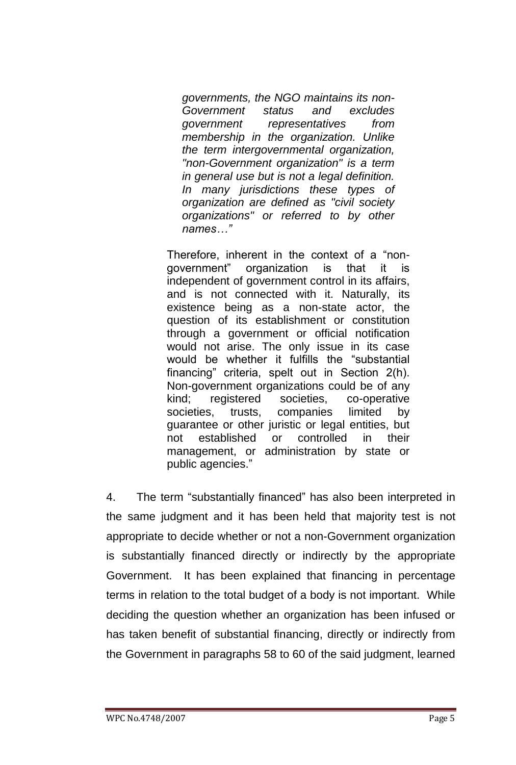*governments, the NGO maintains its non-Government status and excludes government representatives from membership in the organization. Unlike the term intergovernmental organization, "non-Government organization" is a term in general use but is not a legal definition. In many jurisdictions these types of organization are defined as "civil society organizations" or referred to by other names…"*

Therefore, inherent in the context of a "nongovernment‖ organization is that it is independent of government control in its affairs, and is not connected with it. Naturally, its existence being as a non-state actor, the question of its establishment or constitution through a government or official notification would not arise. The only issue in its case would be whether it fulfills the "substantial financing" criteria, spelt out in Section 2(h). Non-government organizations could be of any kind; registered societies, co-operative societies, trusts, companies limited by guarantee or other juristic or legal entities, but not established or controlled in their management, or administration by state or public agencies.‖

4. The term "substantially financed" has also been interpreted in the same judgment and it has been held that majority test is not appropriate to decide whether or not a non-Government organization is substantially financed directly or indirectly by the appropriate Government. It has been explained that financing in percentage terms in relation to the total budget of a body is not important. While deciding the question whether an organization has been infused or has taken benefit of substantial financing, directly or indirectly from the Government in paragraphs 58 to 60 of the said judgment, learned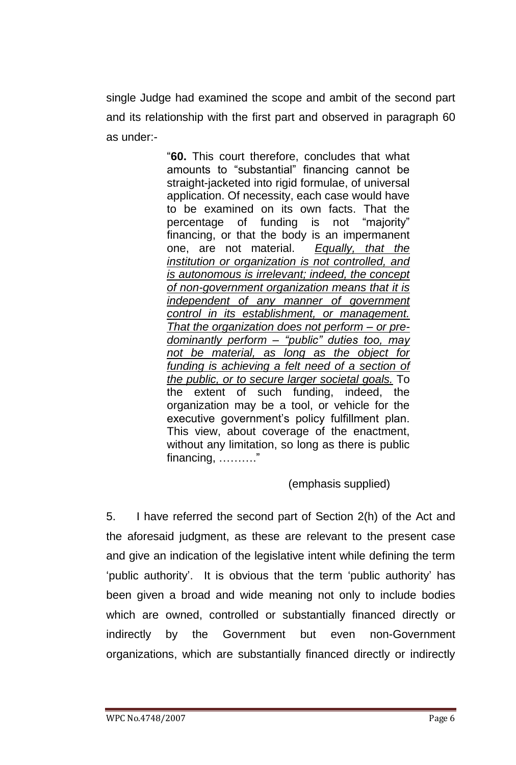single Judge had examined the scope and ambit of the second part and its relationship with the first part and observed in paragraph 60 as under:-

> ―**60.** This court therefore, concludes that what amounts to "substantial" financing cannot be straight-jacketed into rigid formulae, of universal application. Of necessity, each case would have to be examined on its own facts. That the percentage of funding is not "majority" financing, or that the body is an impermanent one, are not material. *Equally, that the institution or organization is not controlled, and is autonomous is irrelevant; indeed, the concept of non-government organization means that it is independent of any manner of government control in its establishment, or management. That the organization does not perform – or predominantly perform – "public" duties too, may not be material, as long as the object for funding is achieving a felt need of a section of the public, or to secure larger societal goals.* To the extent of such funding, indeed, the organization may be a tool, or vehicle for the executive government's policy fulfillment plan. This view, about coverage of the enactment, without any limitation, so long as there is public  $financing, ……."$

## (emphasis supplied)

5. I have referred the second part of Section 2(h) of the Act and the aforesaid judgment, as these are relevant to the present case and give an indication of the legislative intent while defining the term ‗public authority'. It is obvious that the term ‗public authority' has been given a broad and wide meaning not only to include bodies which are owned, controlled or substantially financed directly or indirectly by the Government but even non-Government organizations, which are substantially financed directly or indirectly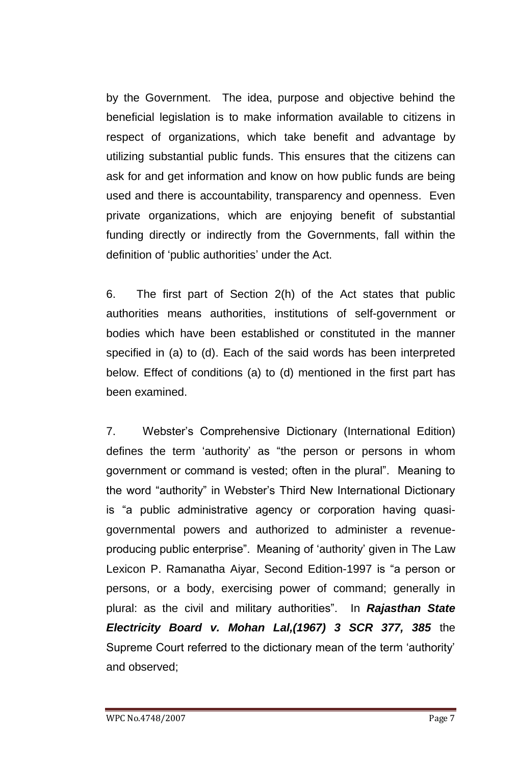by the Government. The idea, purpose and objective behind the beneficial legislation is to make information available to citizens in respect of organizations, which take benefit and advantage by utilizing substantial public funds. This ensures that the citizens can ask for and get information and know on how public funds are being used and there is accountability, transparency and openness. Even private organizations, which are enjoying benefit of substantial funding directly or indirectly from the Governments, fall within the definition of 'public authorities' under the Act.

6. The first part of Section 2(h) of the Act states that public authorities means authorities, institutions of self-government or bodies which have been established or constituted in the manner specified in (a) to (d). Each of the said words has been interpreted below. Effect of conditions (a) to (d) mentioned in the first part has been examined.

7. Webster's Comprehensive Dictionary (International Edition) defines the term 'authority' as "the person or persons in whom government or command is vested; often in the plural". Meaning to the word "authority" in Webster's Third New International Dictionary is "a public administrative agency or corporation having quasigovernmental powers and authorized to administer a revenueproducing public enterprise". Meaning of 'authority' given in The Law Lexicon P. Ramanatha Aiyar, Second Edition-1997 is "a person or persons, or a body, exercising power of command; generally in plural: as the civil and military authorities‖. In *Rajasthan State Electricity Board v. Mohan Lal,(1967) 3 SCR 377, 385* the Supreme Court referred to the dictionary mean of the term 'authority' and observed;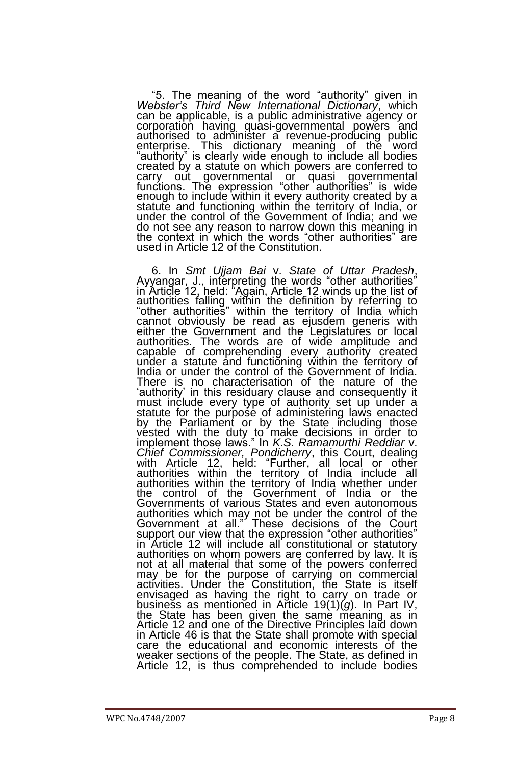"5. The meaning of the word "authority" given in *Webster's Third New International Dictionary*, which can be applicable, is a public administrative agency or corporation having quasi-governmental powers and authorised to administer a revenue-producing public enterprise. This dictionary meaning of the word "authority" is clearly wide enough to include all bodies created by a statute on which powers are conferred to carry out governmental or quasi governmental functions. The expression "other authorities" is wide enough to include within it every authority created by a statute and functioning within the territory of India, or under the control of the Government of India; and we do not see any reason to narrow down this meaning in the context in which the words "other authorities" are used in Article 12 of the Constitution.

6. In *Smt Ujjam Bai* v. *State of Uttar Pradesh*, Ayyangar, J., interpreting the words "other authorities" in Article 12, held: "Again, Article 12 winds up the list of authorities falling within the definition by referring to "other authorities" within the territory of India which cannot obviously be read as ejusdem generis with either the Government and the Legislatures or local authorities. The words are of wide amplitude and capable of comprehending every authority created under a statute and functioning within the territory of India or under the control of the Government of India. There is no characterisation of the nature of the 'authority' in this residuary clause and consequently it must include every type of authority set up under a statute for the purpose of administering laws enacted by the Parliament or by the State including those vested with the duty to make decisions in order to implement those laws.‖ In *K.S. Ramamurthi Reddiar* v. *Chief Commissioner, Pondicherry*, this Court, dealing with Article 12, held: "Further, all local or other authorities within the territory of India include all authorities within the territory of India whether under the control of the Government of India or the Governments of various States and even autonomous authorities which may not be under the control of the Government at all." These decisions of the Court support our view that the expression "other authorities" in Article 12 will include all constitutional or statutory authorities on whom powers are conferred by law. It is not at all material that some of the powers conferred may be for the purpose of carrying on commercial activities. Under the Constitution, the State is itself envisaged as having the right to carry on trade or business as mentioned in Article 19(1)(*g*). In Part IV, the State has been given the same meaning as in Article 12 and one of the Directive Principles laid down in Article 46 is that the State shall promote with special care the educational and economic interests of the weaker sections of the people. The State, as defined in Article 12, is thus comprehended to include bodies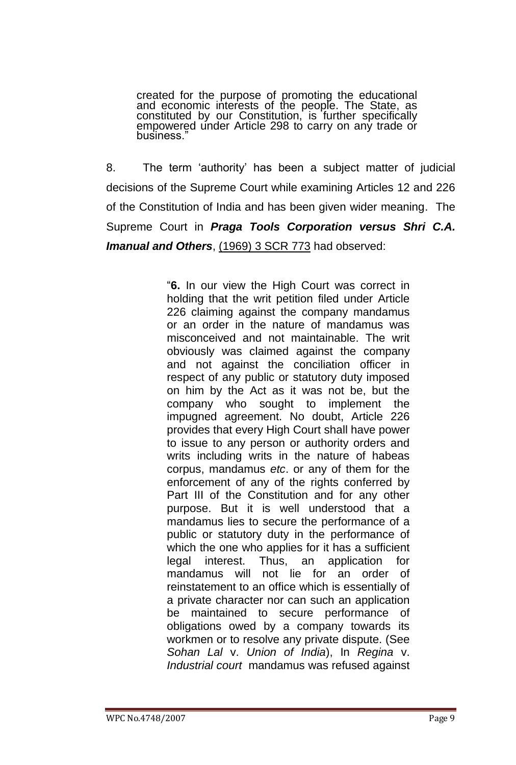created for the purpose of promoting the educational and economic interests of the people. The State, as constituted by our Constitution, is further specifically empowered under Article 298 to carry on any trade or business.'

8. The term 'authority' has been a subject matter of judicial decisions of the Supreme Court while examining Articles 12 and 226 of the Constitution of India and has been given wider meaning. The Supreme Court in *Praga Tools Corporation versus Shri C.A. Imanual and Others*, (1969) 3 SCR 773 had observed:

> ―**6.** In our view the High Court was correct in holding that the writ petition filed under Article 226 claiming against the company mandamus or an order in the nature of mandamus was misconceived and not maintainable. The writ obviously was claimed against the company and not against the conciliation officer in respect of any public or statutory duty imposed on him by the Act as it was not be, but the company who sought to implement the impugned agreement. No doubt, Article 226 provides that every High Court shall have power to issue to any person or authority orders and writs including writs in the nature of habeas corpus, mandamus *etc*. or any of them for the enforcement of any of the rights conferred by Part III of the Constitution and for any other purpose. But it is well understood that a mandamus lies to secure the performance of a public or statutory duty in the performance of which the one who applies for it has a sufficient legal interest. Thus, an application for mandamus will not lie for an order of reinstatement to an office which is essentially of a private character nor can such an application be maintained to secure performance of obligations owed by a company towards its workmen or to resolve any private dispute. (See *Sohan Lal* v. *Union of India*), In *Regina* v. *Industrial court* mandamus was refused against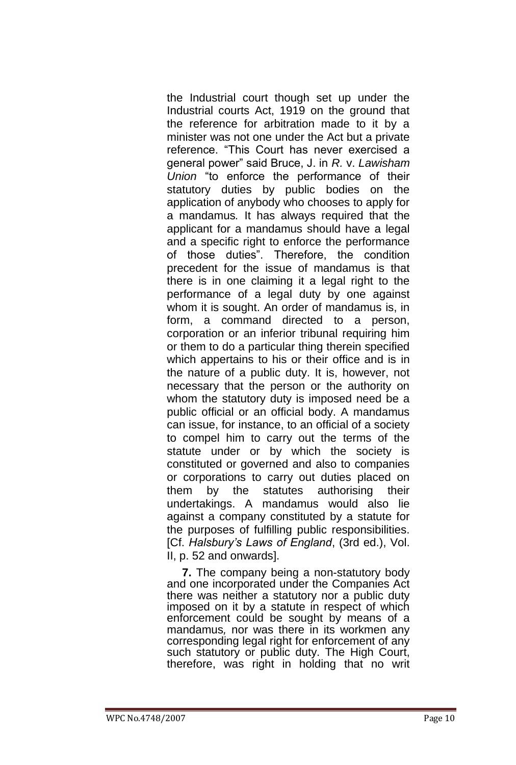the Industrial court though set up under the Industrial courts Act, 1919 on the ground that the reference for arbitration made to it by a minister was not one under the Act but a private reference. "This Court has never exercised a general power‖ said Bruce, J. in *R.* v. *Lawisham Union* "to enforce the performance of their statutory duties by public bodies on the application of anybody who chooses to apply for a mandamus*.* It has always required that the applicant for a mandamus should have a legal and a specific right to enforce the performance of those duties". Therefore, the condition precedent for the issue of mandamus is that there is in one claiming it a legal right to the performance of a legal duty by one against whom it is sought. An order of mandamus is, in form, a command directed to a person, corporation or an inferior tribunal requiring him or them to do a particular thing therein specified which appertains to his or their office and is in the nature of a public duty. It is, however, not necessary that the person or the authority on whom the statutory duty is imposed need be a public official or an official body. A mandamus can issue, for instance, to an official of a society to compel him to carry out the terms of the statute under or by which the society is constituted or governed and also to companies or corporations to carry out duties placed on them by the statutes authorising their undertakings. A mandamus would also lie against a company constituted by a statute for the purposes of fulfilling public responsibilities. [Cf. *Halsbury's Laws of England*, (3rd ed.), Vol. II, p. 52 and onwards].

**7.** The company being a non-statutory body and one incorporated under the Companies Act there was neither a statutory nor a public duty imposed on it by a statute in respect of which enforcement could be sought by means of a mandamus*,* nor was there in its workmen any corresponding legal right for enforcement of any such statutory or public duty. The High Court, therefore, was right in holding that no writ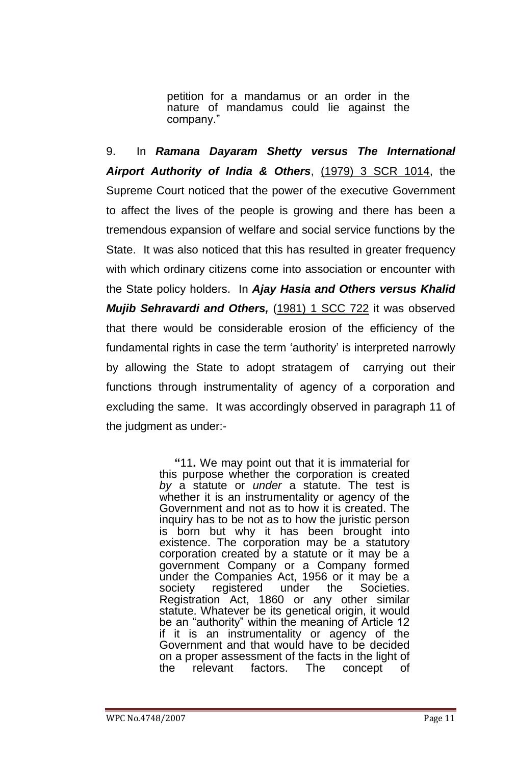petition for a mandamus or an order in the nature of mandamus could lie against the company."

9. In *Ramana Dayaram Shetty versus The International Airport Authority of India & Others*, (1979) 3 SCR 1014, the Supreme Court noticed that the power of the executive Government to affect the lives of the people is growing and there has been a tremendous expansion of welfare and social service functions by the State. It was also noticed that this has resulted in greater frequency with which ordinary citizens come into association or encounter with the State policy holders. In *Ajay Hasia and Others versus Khalid Mujib Sehravardi and Others,* (1981) 1 SCC 722 it was observed that there would be considerable erosion of the efficiency of the fundamental rights in case the term 'authority' is interpreted narrowly by allowing the State to adopt stratagem of carrying out their functions through instrumentality of agency of a corporation and excluding the same. It was accordingly observed in paragraph 11 of the judgment as under:-

> **"**11**.** We may point out that it is immaterial for this purpose whether the corporation is created *by* a statute or *under* a statute. The test is whether it is an instrumentality or agency of the Government and not as to how it is created. The inquiry has to be not as to how the juristic person is born but why it has been brought into existence. The corporation may be a statutory corporation created by a statute or it may be a government Company or a Company formed under the Companies Act, 1956 or it may be a society registered under the Societies. Registration Act, 1860 or any other similar statute. Whatever be its genetical origin, it would be an "authority" within the meaning of Article 12 if it is an instrumentality or agency of the Government and that would have to be decided on a proper assessment of the facts in the light of the relevant factors. The concept of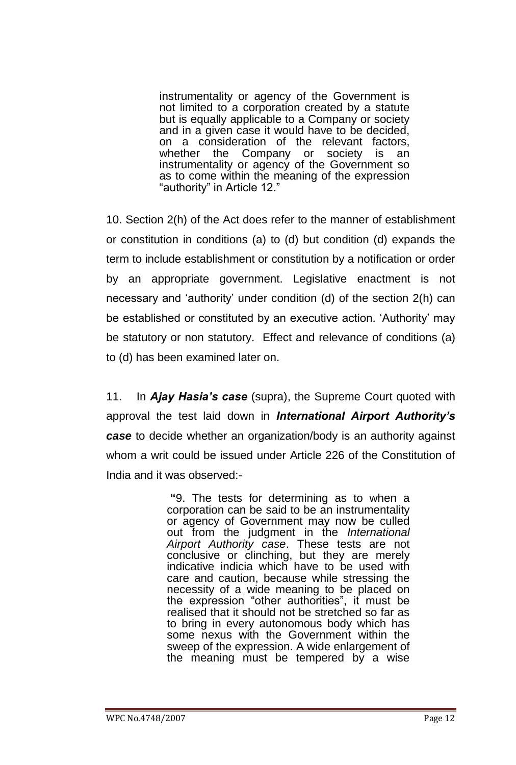instrumentality or agency of the Government is not limited to a corporation created by a statute but is equally applicable to a Company or society and in a given case it would have to be decided, on a consideration of the relevant factors, whether the Company or society is an instrumentality or agency of the Government so as to come within the meaning of the expression "authority" in Article 12."

10. Section 2(h) of the Act does refer to the manner of establishment or constitution in conditions (a) to (d) but condition (d) expands the term to include establishment or constitution by a notification or order by an appropriate government. Legislative enactment is not necessary and 'authority' under condition (d) of the section 2(h) can be established or constituted by an executive action. 'Authority' may be statutory or non statutory. Effect and relevance of conditions (a) to (d) has been examined later on.

11. In *Ajay Hasia's case* (supra), the Supreme Court quoted with approval the test laid down in *International Airport Authority's case* to decide whether an organization/body is an authority against whom a writ could be issued under Article 226 of the Constitution of India and it was observed:-

> **"**9. The tests for determining as to when a corporation can be said to be an instrumentality or agency of Government may now be culled out from the judgment in the *International Airport Authority case*. These tests are not conclusive or clinching, but they are merely indicative indicia which have to be used with care and caution, because while stressing the necessity of a wide meaning to be placed on the expression "other authorities", it must be realised that it should not be stretched so far as to bring in every autonomous body which has some nexus with the Government within the sweep of the expression. A wide enlargement of the meaning must be tempered by a wise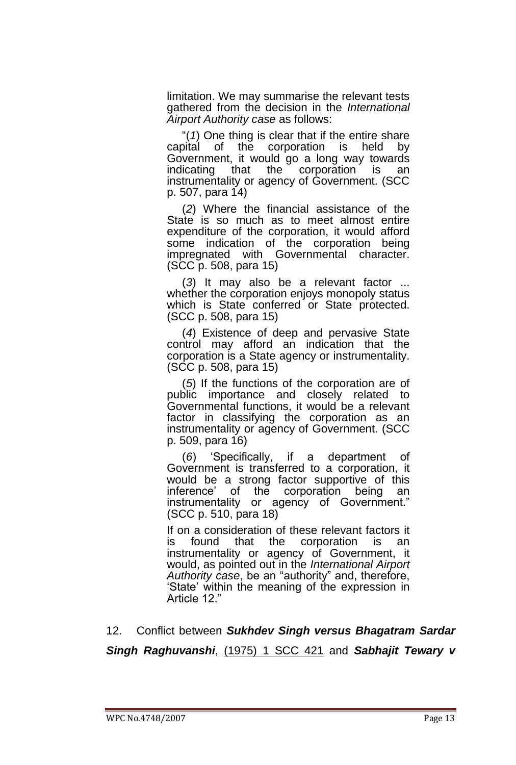limitation. We may summarise the relevant tests gathered from the decision in the *International Airport Authority case* as follows:

―(*1*) One thing is clear that if the entire share capital of the corporation is held by Government, it would go a long way towards indicating that the corporation is an instrumentality or agency of Government. (SCC p. 507, para 14)

(*2*) Where the financial assistance of the State is so much as to meet almost entire expenditure of the corporation, it would afford some indication of the corporation being impregnated with Governmental character. (SCC p. 508, para 15)

(*3*) It may also be a relevant factor ... whether the corporation enjoys monopoly status which is State conferred or State protected. (SCC p. 508, para 15)

(*4*) Existence of deep and pervasive State control may afford an indication that the corporation is a State agency or instrumentality. (SCC p. 508, para 15)

(*5*) If the functions of the corporation are of public importance and closely related to Governmental functions, it would be a relevant factor in classifying the corporation as an instrumentality or agency of Government. (SCC p. 509, para 16)

(*6*) ‗Specifically, if a department of Government is transferred to a corporation, it would be a strong factor supportive of this inference' of the corporation being an instrumentality or agency of Government." (SCC p. 510, para 18)

If on a consideration of these relevant factors it is found that the corporation is an instrumentality or agency of Government, it would, as pointed out in the *International Airport*  Authority case, be an "authority" and, therefore, ‗State' within the meaning of the expression in Article 12.‖

12. Conflict between *Sukhdev Singh versus Bhagatram Sardar Singh Raghuvanshi*, (1975) 1 SCC 421 and *Sabhajit Tewary v*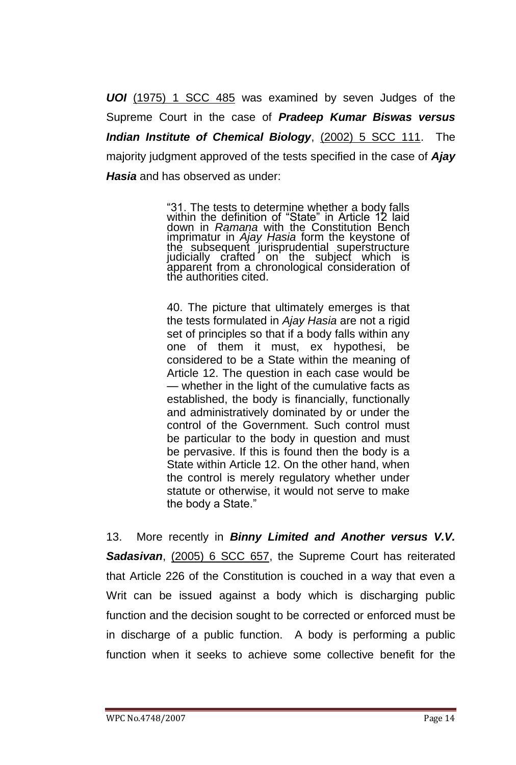*UOI* (1975) 1 SCC 485 was examined by seven Judges of the Supreme Court in the case of *Pradeep Kumar Biswas versus Indian Institute of Chemical Biology*, (2002) 5 SCC 111. The majority judgment approved of the tests specified in the case of *Ajay Hasia* and has observed as under:

> ―31. The tests to determine whether a body falls within the definition of "State" in Article 12 laid down in *Ramana* with the Constitution Bench imprimatur in *Ajay Hasia* form the keystone of the subsequent jurisprudential superstructure judicially crafted on the subject which is apparent from a chronological consideration of the authorities cited.

> 40. The picture that ultimately emerges is that the tests formulated in *Ajay Hasia* are not a rigid set of principles so that if a body falls within any one of them it must, ex hypothesi, be considered to be a State within the meaning of Article 12. The question in each case would be — whether in the light of the cumulative facts as established, the body is financially, functionally and administratively dominated by or under the control of the Government. Such control must be particular to the body in question and must be pervasive. If this is found then the body is a State within Article 12. On the other hand, when the control is merely regulatory whether under statute or otherwise, it would not serve to make the body a State."

13. More recently in *Binny Limited and Another versus V.V. Sadasivan*, (2005) 6 SCC 657, the Supreme Court has reiterated that Article 226 of the Constitution is couched in a way that even a Writ can be issued against a body which is discharging public function and the decision sought to be corrected or enforced must be in discharge of a public function. A body is performing a public function when it seeks to achieve some collective benefit for the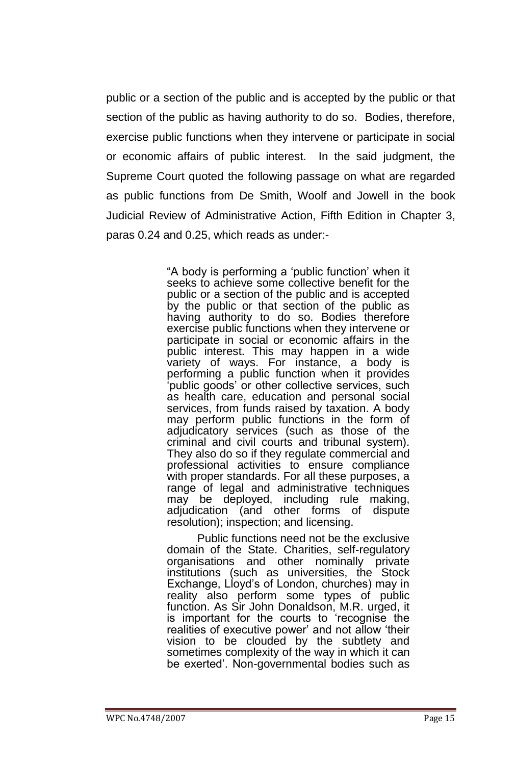public or a section of the public and is accepted by the public or that section of the public as having authority to do so. Bodies, therefore, exercise public functions when they intervene or participate in social or economic affairs of public interest. In the said judgment, the Supreme Court quoted the following passage on what are regarded as public functions from De Smith, Woolf and Jowell in the book Judicial Review of Administrative Action, Fifth Edition in Chapter 3, paras 0.24 and 0.25, which reads as under:-

> ―A body is performing a ‗public function' when it seeks to achieve some collective benefit for the public or a section of the public and is accepted by the public or that section of the public as having authority to do so. Bodies therefore exercise public functions when they intervene or participate in social or economic affairs in the public interest. This may happen in a wide variety of ways. For instance, a body is performing a public function when it provides ‗public goods' or other collective services, such as health care, education and personal social services, from funds raised by taxation. A body may perform public functions in the form of adjudicatory services (such as those of the criminal and civil courts and tribunal system). They also do so if they regulate commercial and professional activities to ensure compliance with proper standards. For all these purposes, a range of legal and administrative techniques may be deployed, including rule making, adjudication (and other forms of dispute resolution); inspection; and licensing.

> Public functions need not be the exclusive domain of the State. Charities, self-regulatory organisations and other nominally private institutions (such as universities, the Stock Exchange, Lloyd's of London, churches) may in reality also perform some types of public function. As Sir John Donaldson, M.R. urged, it is important for the courts to 'recognise the realities of executive power' and not allow 'their vision to be clouded by the subtlety and sometimes complexity of the way in which it can be exerted'. Non-governmental bodies such as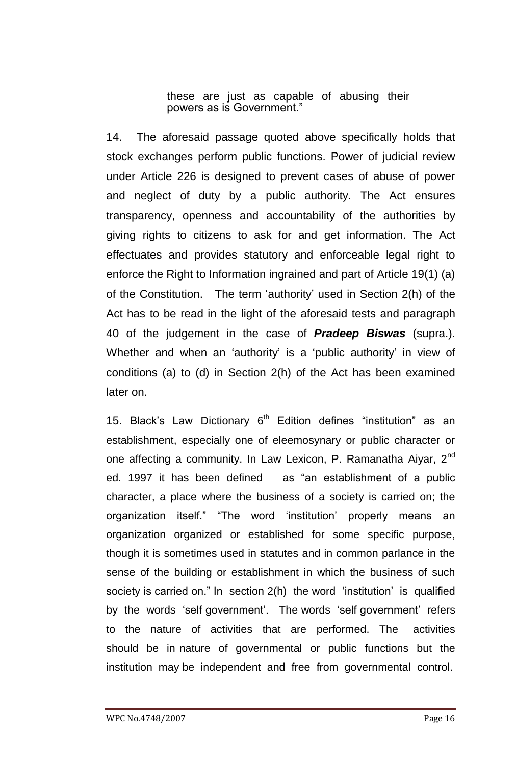these are just as capable of abusing their powers as is Government.‖

14. The aforesaid passage quoted above specifically holds that stock exchanges perform public functions. Power of judicial review under Article 226 is designed to prevent cases of abuse of power and neglect of duty by a public authority. The Act ensures transparency, openness and accountability of the authorities by giving rights to citizens to ask for and get information. The Act effectuates and provides statutory and enforceable legal right to enforce the Right to Information ingrained and part of Article 19(1) (a) of the Constitution. The term 'authority' used in Section 2(h) of the Act has to be read in the light of the aforesaid tests and paragraph 40 of the judgement in the case of *Pradeep Biswas* (supra.). Whether and when an 'authority' is a 'public authority' in view of conditions (a) to (d) in Section 2(h) of the Act has been examined later on.

15. Black's Law Dictionary  $6<sup>th</sup>$  Edition defines "institution" as an establishment, especially one of eleemosynary or public character or one affecting a community. In Law Lexicon, P. Ramanatha Aiyar,  $2^{nd}$ ed. 1997 it has been defined as "an establishment of a public character, a place where the business of a society is carried on; the organization itself." "The word 'institution' properly means an organization organized or established for some specific purpose, though it is sometimes used in statutes and in common parlance in the sense of the building or establishment in which the business of such society is carried on." In section  $2(h)$  the word 'institution' is qualified by the words 'self government'. The words 'self government' refers to the nature of activities that are performed. The activities should be in nature of governmental or public functions but the institution may be independent and free from governmental control.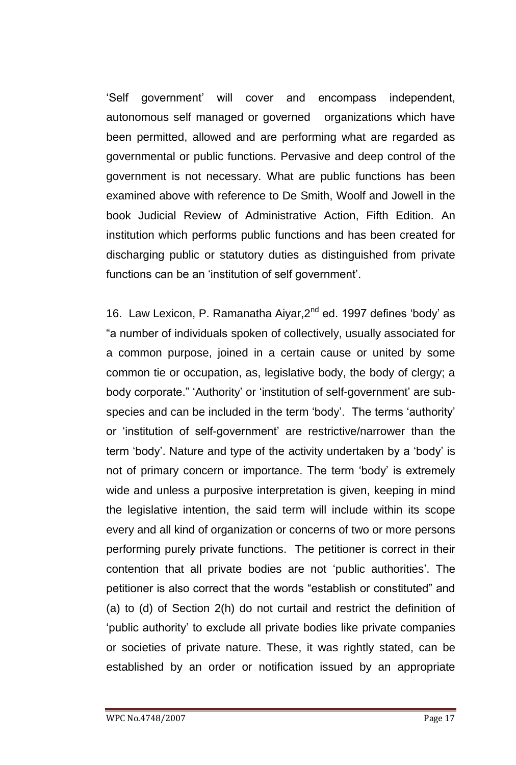‗Self government' will cover and encompass independent, autonomous self managed or governed organizations which have been permitted, allowed and are performing what are regarded as governmental or public functions. Pervasive and deep control of the government is not necessary. What are public functions has been examined above with reference to De Smith, Woolf and Jowell in the book Judicial Review of Administrative Action, Fifth Edition. An institution which performs public functions and has been created for discharging public or statutory duties as distinguished from private functions can be an 'institution of self government'.

16. Law Lexicon, P. Ramanatha Aiyar, 2<sup>nd</sup> ed. 1997 defines 'body' as ―a number of individuals spoken of collectively, usually associated for a common purpose, joined in a certain cause or united by some common tie or occupation, as, legislative body, the body of clergy; a body corporate.‖ ‗Authority' or ‗institution of self-government' are subspecies and can be included in the term 'body'. The terms 'authority' or ‗institution of self-government' are restrictive/narrower than the term 'body'. Nature and type of the activity undertaken by a 'body' is not of primary concern or importance. The term 'body' is extremely wide and unless a purposive interpretation is given, keeping in mind the legislative intention, the said term will include within its scope every and all kind of organization or concerns of two or more persons performing purely private functions. The petitioner is correct in their contention that all private bodies are not 'public authorities'. The petitioner is also correct that the words "establish or constituted" and (a) to (d) of Section 2(h) do not curtail and restrict the definition of ‗public authority' to exclude all private bodies like private companies or societies of private nature. These, it was rightly stated, can be established by an order or notification issued by an appropriate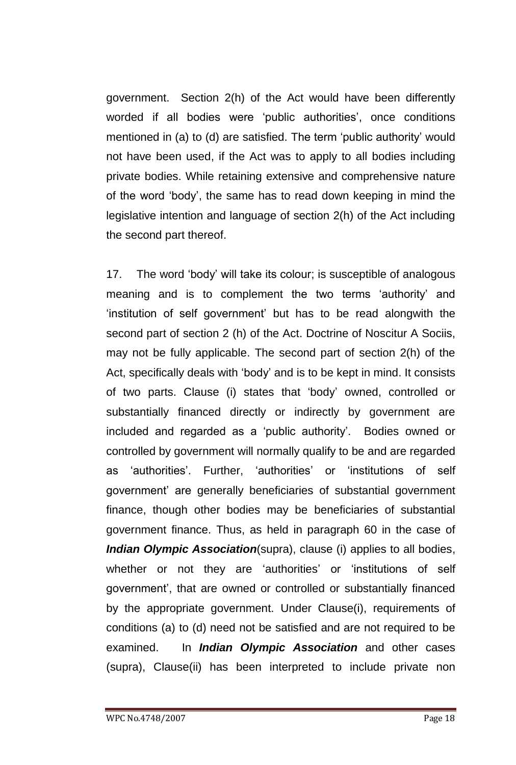government. Section 2(h) of the Act would have been differently worded if all bodies were 'public authorities', once conditions mentioned in (a) to (d) are satisfied. The term 'public authority' would not have been used, if the Act was to apply to all bodies including private bodies. While retaining extensive and comprehensive nature of the word ‗body', the same has to read down keeping in mind the legislative intention and language of section 2(h) of the Act including the second part thereof.

17. The word 'body' will take its colour; is susceptible of analogous meaning and is to complement the two terms 'authority' and ‗institution of self government' but has to be read alongwith the second part of section 2 (h) of the Act. Doctrine of Noscitur A Sociis, may not be fully applicable. The second part of section 2(h) of the Act, specifically deals with 'body' and is to be kept in mind. It consists of two parts. Clause (i) states that ‗body' owned, controlled or substantially financed directly or indirectly by government are included and regarded as a 'public authority'. Bodies owned or controlled by government will normally qualify to be and are regarded as 'authorities'. Further, 'authorities' or 'institutions of self government' are generally beneficiaries of substantial government finance, though other bodies may be beneficiaries of substantial government finance. Thus, as held in paragraph 60 in the case of *Indian Olympic Association*(supra), clause (i) applies to all bodies, whether or not they are 'authorities' or 'institutions of self government', that are owned or controlled or substantially financed by the appropriate government. Under Clause(i), requirements of conditions (a) to (d) need not be satisfied and are not required to be examined. In *Indian Olympic Association* and other cases (supra), Clause(ii) has been interpreted to include private non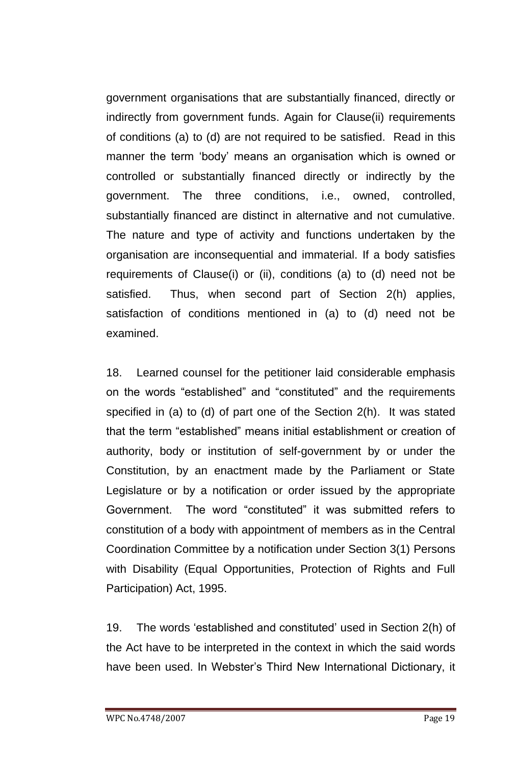government organisations that are substantially financed, directly or indirectly from government funds. Again for Clause(ii) requirements of conditions (a) to (d) are not required to be satisfied. Read in this manner the term 'body' means an organisation which is owned or controlled or substantially financed directly or indirectly by the government. The three conditions, i.e., owned, controlled, substantially financed are distinct in alternative and not cumulative. The nature and type of activity and functions undertaken by the organisation are inconsequential and immaterial. If a body satisfies requirements of Clause(i) or (ii), conditions (a) to (d) need not be satisfied. Thus, when second part of Section 2(h) applies, satisfaction of conditions mentioned in (a) to (d) need not be examined.

18. Learned counsel for the petitioner laid considerable emphasis on the words "established" and "constituted" and the requirements specified in (a) to (d) of part one of the Section 2(h). It was stated that the term "established" means initial establishment or creation of authority, body or institution of self-government by or under the Constitution, by an enactment made by the Parliament or State Legislature or by a notification or order issued by the appropriate Government. The word "constituted" it was submitted refers to constitution of a body with appointment of members as in the Central Coordination Committee by a notification under Section 3(1) Persons with Disability (Equal Opportunities, Protection of Rights and Full Participation) Act, 1995.

19. The words ‗established and constituted' used in Section 2(h) of the Act have to be interpreted in the context in which the said words have been used. In Webster's Third New International Dictionary, it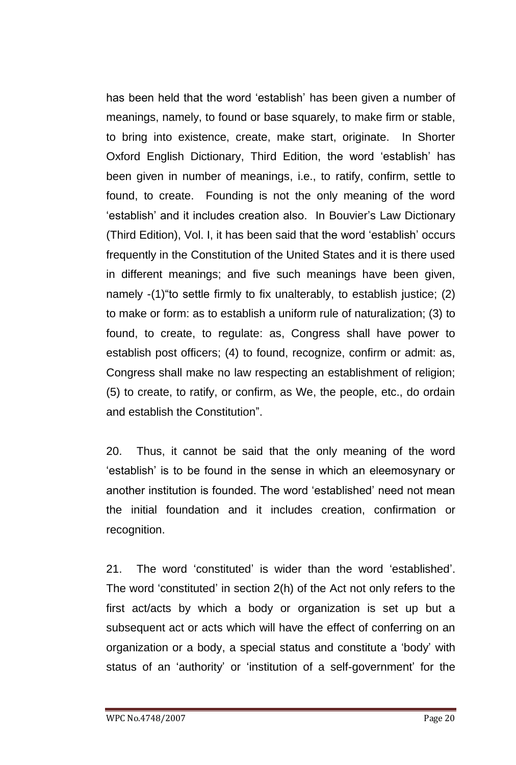has been held that the word 'establish' has been given a number of meanings, namely, to found or base squarely, to make firm or stable, to bring into existence, create, make start, originate. In Shorter Oxford English Dictionary, Third Edition, the word 'establish' has been given in number of meanings, i.e., to ratify, confirm, settle to found, to create. Founding is not the only meaning of the word ‗establish' and it includes creation also. In Bouvier's Law Dictionary (Third Edition), Vol. I, it has been said that the word ‗establish' occurs frequently in the Constitution of the United States and it is there used in different meanings; and five such meanings have been given, namely  $-(1)$  to settle firmly to fix unalterably, to establish justice; (2) to make or form: as to establish a uniform rule of naturalization; (3) to found, to create, to regulate: as, Congress shall have power to establish post officers; (4) to found, recognize, confirm or admit: as, Congress shall make no law respecting an establishment of religion; (5) to create, to ratify, or confirm, as We, the people, etc., do ordain and establish the Constitution".

20. Thus, it cannot be said that the only meaning of the word ‗establish' is to be found in the sense in which an eleemosynary or another institution is founded. The word 'established' need not mean the initial foundation and it includes creation, confirmation or recognition.

21. The word 'constituted' is wider than the word 'established'. The word 'constituted' in section 2(h) of the Act not only refers to the first act/acts by which a body or organization is set up but a subsequent act or acts which will have the effect of conferring on an organization or a body, a special status and constitute a 'body' with status of an 'authority' or 'institution of a self-government' for the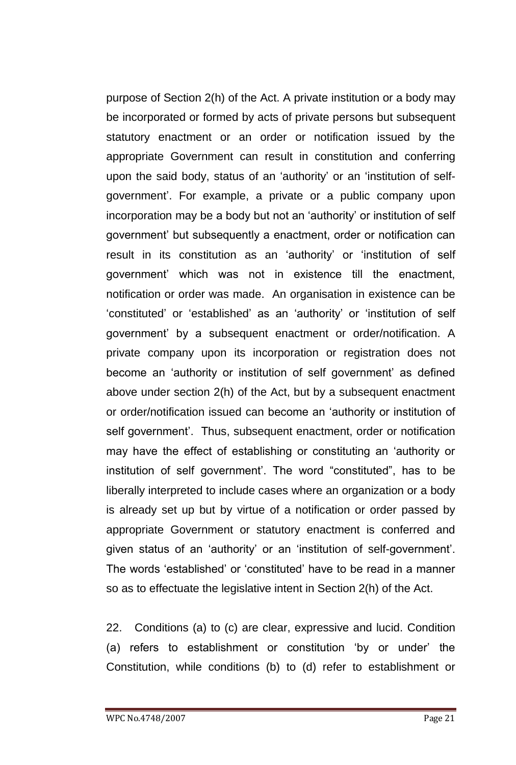purpose of Section 2(h) of the Act. A private institution or a body may be incorporated or formed by acts of private persons but subsequent statutory enactment or an order or notification issued by the appropriate Government can result in constitution and conferring upon the said body, status of an 'authority' or an 'institution of selfgovernment'. For example, a private or a public company upon incorporation may be a body but not an 'authority' or institution of self government' but subsequently a enactment, order or notification can result in its constitution as an 'authority' or 'institution of self government' which was not in existence till the enactment, notification or order was made. An organisation in existence can be ‗constituted' or ‗established' as an ‗authority' or ‗institution of self government' by a subsequent enactment or order/notification. A private company upon its incorporation or registration does not become an 'authority or institution of self government' as defined above under section 2(h) of the Act, but by a subsequent enactment or order/notification issued can become an 'authority or institution of self government'. Thus, subsequent enactment, order or notification may have the effect of establishing or constituting an 'authority or institution of self government. The word "constituted", has to be liberally interpreted to include cases where an organization or a body is already set up but by virtue of a notification or order passed by appropriate Government or statutory enactment is conferred and given status of an 'authority' or an 'institution of self-government'. The words 'established' or 'constituted' have to be read in a manner so as to effectuate the legislative intent in Section 2(h) of the Act.

22. Conditions (a) to (c) are clear, expressive and lucid. Condition (a) refers to establishment or constitution 'by or under' the Constitution, while conditions (b) to (d) refer to establishment or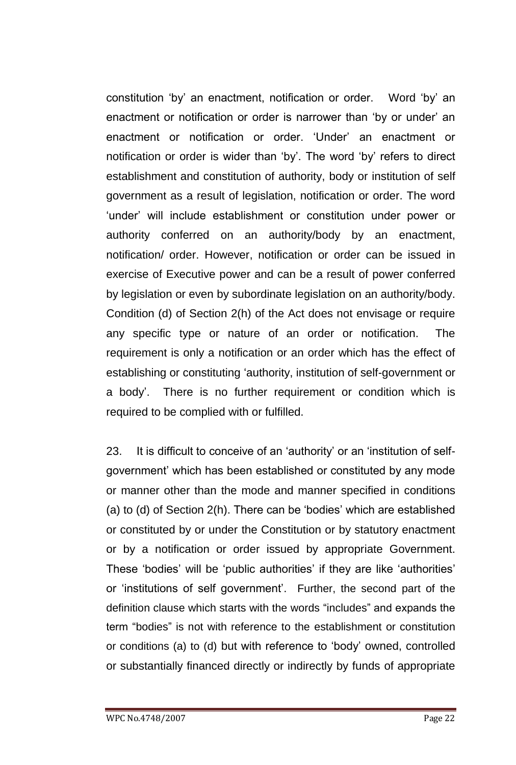constitution 'by' an enactment, notification or order. Word 'by' an enactment or notification or order is narrower than 'by or under' an enactment or notification or order. 'Under' an enactment or notification or order is wider than 'by'. The word 'by' refers to direct establishment and constitution of authority, body or institution of self government as a result of legislation, notification or order. The word 'under' will include establishment or constitution under power or authority conferred on an authority/body by an enactment, notification/ order. However, notification or order can be issued in exercise of Executive power and can be a result of power conferred by legislation or even by subordinate legislation on an authority/body. Condition (d) of Section 2(h) of the Act does not envisage or require any specific type or nature of an order or notification. The requirement is only a notification or an order which has the effect of establishing or constituting 'authority, institution of self-government or a body'. There is no further requirement or condition which is required to be complied with or fulfilled.

23. It is difficult to conceive of an 'authority' or an 'institution of selfgovernment' which has been established or constituted by any mode or manner other than the mode and manner specified in conditions (a) to  $(d)$  of Section  $2(h)$ . There can be 'bodies' which are established or constituted by or under the Constitution or by statutory enactment or by a notification or order issued by appropriate Government. These 'bodies' will be 'public authorities' if they are like 'authorities' or 'institutions of self government'. Further, the second part of the definition clause which starts with the words "includes" and expands the term "bodies" is not with reference to the establishment or constitution or conditions (a) to (d) but with reference to 'body' owned, controlled or substantially financed directly or indirectly by funds of appropriate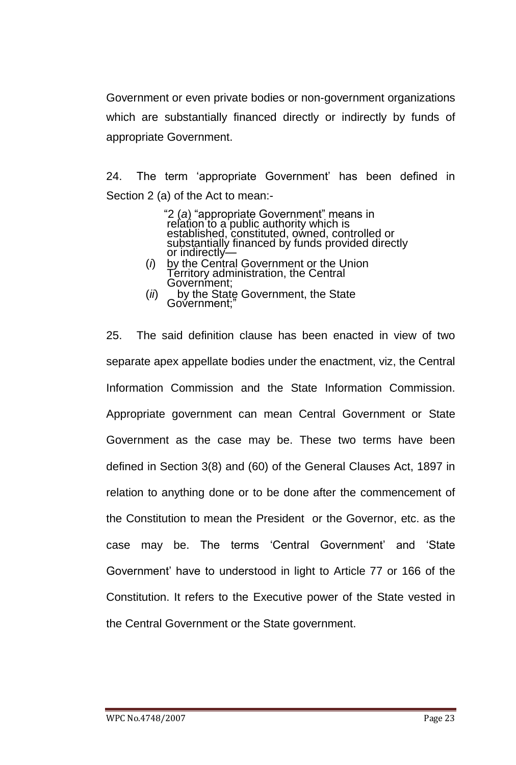Government or even private bodies or non-government organizations which are substantially financed directly or indirectly by funds of appropriate Government.

24. The term 'appropriate Government' has been defined in Section 2 (a) of the Act to mean:-

> ―2 (*a*) ―appropriate Government‖ means in relation to a public authority which is established, constituted, owned, controlled or substantially financed by funds provided directly or indirectly—

- (*i*) by the Central Government or the Union Territory administration, the Central Government;
- (*ii*) by the State Government, the State Government:

25. The said definition clause has been enacted in view of two separate apex appellate bodies under the enactment, viz, the Central Information Commission and the State Information Commission. Appropriate government can mean Central Government or State Government as the case may be. These two terms have been defined in Section 3(8) and (60) of the General Clauses Act, 1897 in relation to anything done or to be done after the commencement of the Constitution to mean the President or the Governor, etc. as the case may be. The terms 'Central Government' and 'State Government' have to understood in light to Article 77 or 166 of the Constitution. It refers to the Executive power of the State vested in the Central Government or the State government.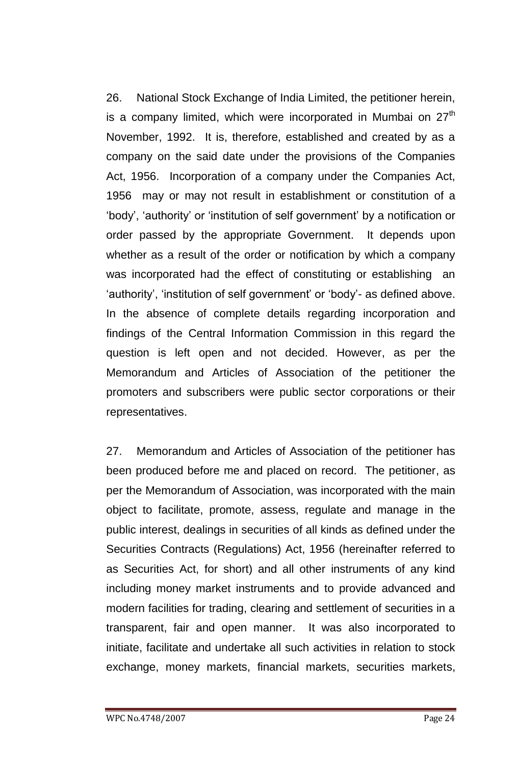26. National Stock Exchange of India Limited, the petitioner herein, is a company limited, which were incorporated in Mumbai on  $27<sup>th</sup>$ November, 1992. It is, therefore, established and created by as a company on the said date under the provisions of the Companies Act, 1956. Incorporation of a company under the Companies Act, 1956 may or may not result in establishment or constitution of a ‗body', ‗authority' or ‗institution of self government' by a notification or order passed by the appropriate Government. It depends upon whether as a result of the order or notification by which a company was incorporated had the effect of constituting or establishing an 'authority', 'institution of self government' or 'body'- as defined above. In the absence of complete details regarding incorporation and findings of the Central Information Commission in this regard the question is left open and not decided. However, as per the Memorandum and Articles of Association of the petitioner the promoters and subscribers were public sector corporations or their representatives.

27. Memorandum and Articles of Association of the petitioner has been produced before me and placed on record. The petitioner, as per the Memorandum of Association, was incorporated with the main object to facilitate, promote, assess, regulate and manage in the public interest, dealings in securities of all kinds as defined under the Securities Contracts (Regulations) Act, 1956 (hereinafter referred to as Securities Act, for short) and all other instruments of any kind including money market instruments and to provide advanced and modern facilities for trading, clearing and settlement of securities in a transparent, fair and open manner. It was also incorporated to initiate, facilitate and undertake all such activities in relation to stock exchange, money markets, financial markets, securities markets,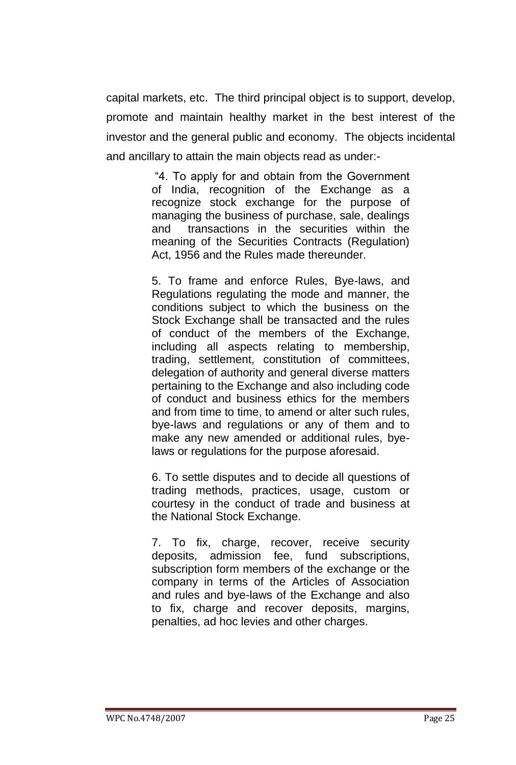capital markets, etc. The third principal object is to support, develop, promote and maintain healthy market in the best interest of the investor and the general public and economy. The objects incidental and ancillary to attain the main objects read as under:-

> ―4. To apply for and obtain from the Government of India, recognition of the Exchange as a recognize stock exchange for the purpose of managing the business of purchase, sale, dealings and transactions in the securities within the meaning of the Securities Contracts (Regulation) Act, 1956 and the Rules made thereunder.

> 5. To frame and enforce Rules, Bye-laws, and Regulations regulating the mode and manner, the conditions subject to which the business on the Stock Exchange shall be transacted and the rules of conduct of the members of the Exchange, including all aspects relating to membership, trading, settlement, constitution of committees, delegation of authority and general diverse matters pertaining to the Exchange and also including code of conduct and business ethics for the members and from time to time, to amend or alter such rules, bye-laws and regulations or any of them and to make any new amended or additional rules, byelaws or regulations for the purpose aforesaid.

> 6. To settle disputes and to decide all questions of trading methods, practices, usage, custom or courtesy in the conduct of trade and business at the National Stock Exchange.

> 7. To fix, charge, recover, receive security deposits, admission fee, fund subscriptions, subscription form members of the exchange or the company in terms of the Articles of Association and rules and bye-laws of the Exchange and also to fix, charge and recover deposits, margins, penalties, ad hoc levies and other charges.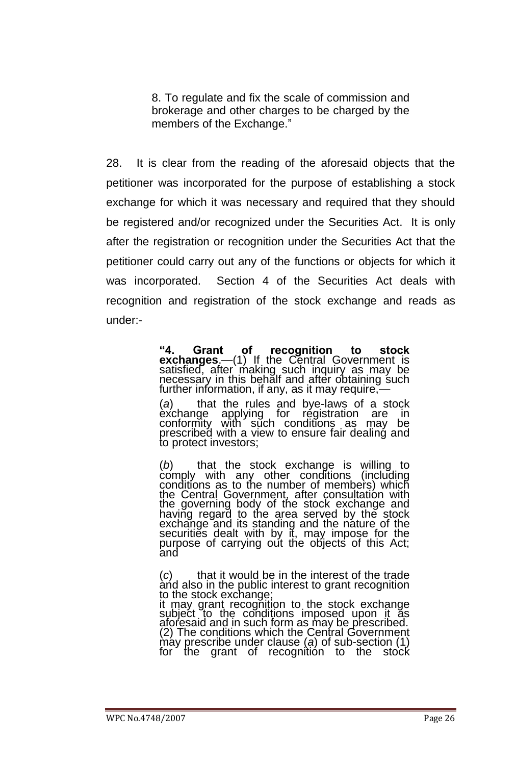8. To regulate and fix the scale of commission and brokerage and other charges to be charged by the members of the Exchange."

28. It is clear from the reading of the aforesaid objects that the petitioner was incorporated for the purpose of establishing a stock exchange for which it was necessary and required that they should be registered and/or recognized under the Securities Act. It is only after the registration or recognition under the Securities Act that the petitioner could carry out any of the functions or objects for which it was incorporated. Section 4 of the Securities Act deals with recognition and registration of the stock exchange and reads as under:-

> **"4. Grant of recognition to stock exchanges.**—(1) If the Central Government is satisfied, after making such inquiry as may be necessary in this behalf and after obtaining such further information, if any, as it may require,-

> (*a*) that the rules and bye-laws of a stock èxchange applying for régistration are in conformity with such conditions as may be prescribed with a view to ensure fair dealing and to protect investors;

> (*b*) that the stock exchange is willing to comply with any other conditions (including conditions as to the number of members) which the Central Government, after consultation with the governing body of the stock exchange and having regard to the area served by the stock exchange and its standing and the nature of the securities dealt with by it, may impose for the purpose of carrying out the objects of this Act; and

(*c*) that it would be in the interest of the trade ànd also in the public interest to grant recognition to the stock exchange;

it may grant recognition to the stock exchange subject to the conditions imposed upon it as aforesaid and in such form as may be prescribed. (2) The conditions which the Central Government may prescribe under clause (*a*) of sub-section (1) for the grant of recognitión to the stock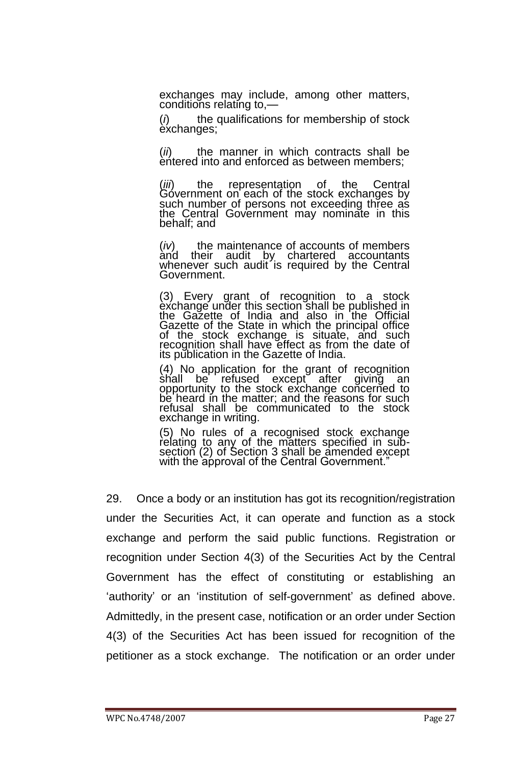exchanges may include, among other matters, conditions relating to,—

(*i*) the qualifications for membership of stock exchanges;

(*ii*) the manner in which contracts shall be entered into and enforced as between members;

(*iii*) the representation of the Central Government on each of the stock exchanges by such number of persons not exceeding three as the Central Government may nominate in this behalf; and

(*iv*) the maintenance of accounts of members and their audit by chartered accountants whenever such audit is required by the Central Government.

(3) Every grant of recognition to a stock exchange under this section shall be published in the Gazette of India and also in the Official Gazette of the State in which the principal office of the stock exchange is situate, and such recognition shall have effect as from the date of its publication in the Gazette of India.

(4) No application for the grant of recognition shall be refused except after giving an opportunity to the stock exchange concerned to be heard in the matter; and the reasons for such refusal shall be communicated to the stock exchange in writing.

(5) No rules of a recognised stock exchange relating to any of the matters specified in subsection (2) of Section 3 shall be amended except with the approval of the Central Government."

29. Once a body or an institution has got its recognition/registration under the Securities Act, it can operate and function as a stock exchange and perform the said public functions. Registration or recognition under Section 4(3) of the Securities Act by the Central Government has the effect of constituting or establishing an ‗authority' or an ‗institution of self-government' as defined above. Admittedly, in the present case, notification or an order under Section 4(3) of the Securities Act has been issued for recognition of the petitioner as a stock exchange. The notification or an order under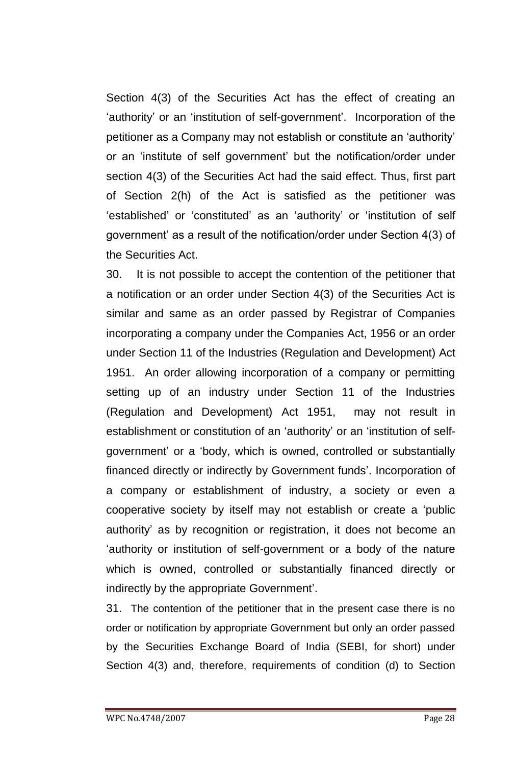Section 4(3) of the Securities Act has the effect of creating an 'authority' or an 'institution of self-government'. Incorporation of the petitioner as a Company may not establish or constitute an 'authority' or an 'institute of self government' but the notification/order under section 4(3) of the Securities Act had the said effect. Thus, first part of Section 2(h) of the Act is satisfied as the petitioner was ‗established' or ‗constituted' as an ‗authority' or ‗institution of self government' as a result of the notification/order under Section 4(3) of the Securities Act.

30. It is not possible to accept the contention of the petitioner that a notification or an order under Section 4(3) of the Securities Act is similar and same as an order passed by Registrar of Companies incorporating a company under the Companies Act, 1956 or an order under Section 11 of the Industries (Regulation and Development) Act 1951. An order allowing incorporation of a company or permitting setting up of an industry under Section 11 of the Industries (Regulation and Development) Act 1951, may not result in establishment or constitution of an 'authority' or an 'institution of selfgovernment' or a 'body, which is owned, controlled or substantially financed directly or indirectly by Government funds'. Incorporation of a company or establishment of industry, a society or even a cooperative society by itself may not establish or create a 'public authority' as by recognition or registration, it does not become an ‗authority or institution of self-government or a body of the nature which is owned, controlled or substantially financed directly or indirectly by the appropriate Government'.

31. The contention of the petitioner that in the present case there is no order or notification by appropriate Government but only an order passed by the Securities Exchange Board of India (SEBI, for short) under Section 4(3) and, therefore, requirements of condition (d) to Section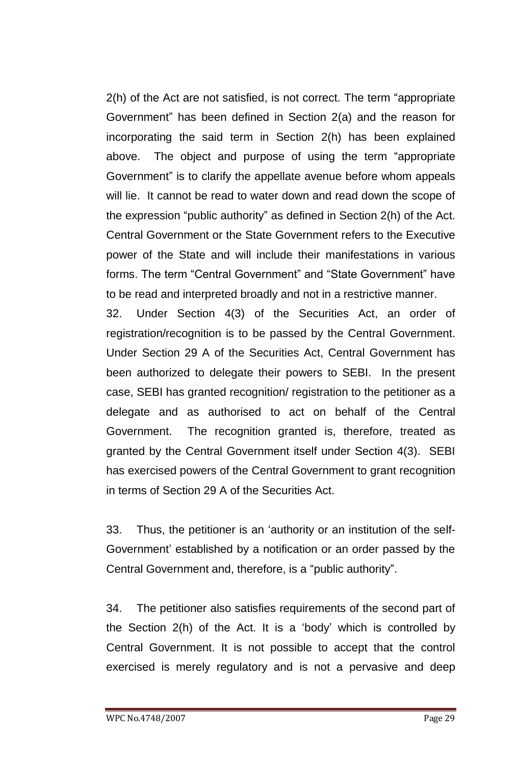2(h) of the Act are not satisfied, is not correct. The term "appropriate" Government" has been defined in Section 2(a) and the reason for incorporating the said term in Section 2(h) has been explained above. The object and purpose of using the term "appropriate Government‖ is to clarify the appellate avenue before whom appeals will lie. It cannot be read to water down and read down the scope of the expression "public authority" as defined in Section  $2(h)$  of the Act. Central Government or the State Government refers to the Executive power of the State and will include their manifestations in various forms. The term "Central Government" and "State Government" have to be read and interpreted broadly and not in a restrictive manner.

32. Under Section 4(3) of the Securities Act, an order of registration/recognition is to be passed by the Central Government. Under Section 29 A of the Securities Act, Central Government has been authorized to delegate their powers to SEBI. In the present case, SEBI has granted recognition/ registration to the petitioner as a delegate and as authorised to act on behalf of the Central Government. The recognition granted is, therefore, treated as granted by the Central Government itself under Section 4(3). SEBI has exercised powers of the Central Government to grant recognition in terms of Section 29 A of the Securities Act.

33. Thus, the petitioner is an 'authority or an institution of the self-Government' established by a notification or an order passed by the Central Government and, therefore, is a "public authority".

34. The petitioner also satisfies requirements of the second part of the Section  $2(h)$  of the Act. It is a 'body' which is controlled by Central Government. It is not possible to accept that the control exercised is merely regulatory and is not a pervasive and deep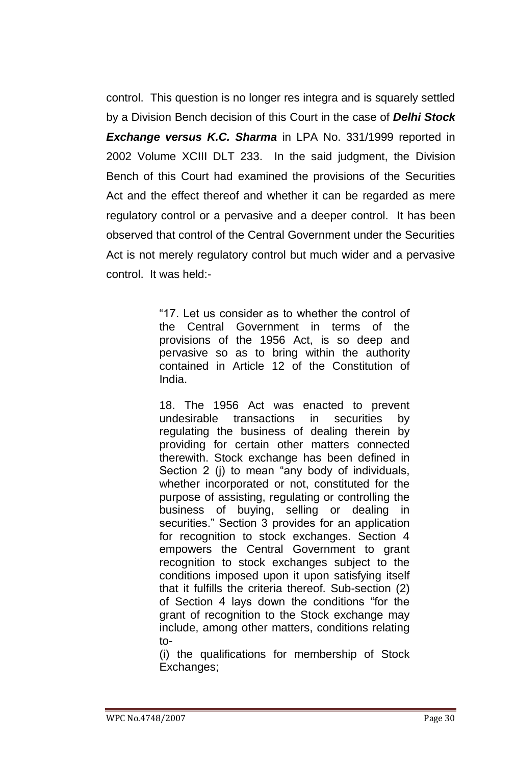control. This question is no longer res integra and is squarely settled by a Division Bench decision of this Court in the case of *Delhi Stock Exchange versus K.C. Sharma* in LPA No. 331/1999 reported in 2002 Volume XCIII DLT 233. In the said judgment, the Division Bench of this Court had examined the provisions of the Securities Act and the effect thereof and whether it can be regarded as mere regulatory control or a pervasive and a deeper control. It has been observed that control of the Central Government under the Securities Act is not merely regulatory control but much wider and a pervasive control. It was held:-

> ―17. Let us consider as to whether the control of the Central Government in terms of the provisions of the 1956 Act, is so deep and pervasive so as to bring within the authority contained in Article 12 of the Constitution of India.

> 18. The 1956 Act was enacted to prevent undesirable transactions in securities by regulating the business of dealing therein by providing for certain other matters connected therewith. Stock exchange has been defined in Section 2 (j) to mean "any body of individuals, whether incorporated or not, constituted for the purpose of assisting, regulating or controlling the business of buying, selling or dealing in securities." Section 3 provides for an application for recognition to stock exchanges. Section 4 empowers the Central Government to grant recognition to stock exchanges subject to the conditions imposed upon it upon satisfying itself that it fulfills the criteria thereof. Sub-section (2) of Section 4 lays down the conditions "for the grant of recognition to the Stock exchange may include, among other matters, conditions relating to-

(i) the qualifications for membership of Stock Exchanges;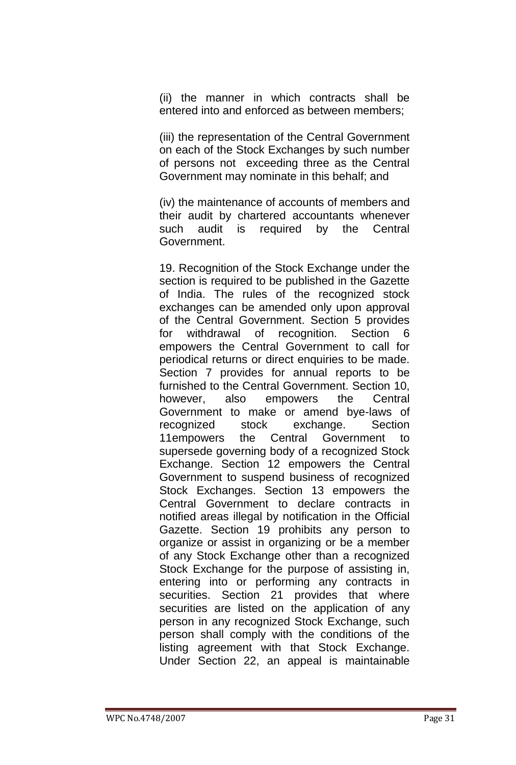(ii) the manner in which contracts shall be entered into and enforced as between members;

(iii) the representation of the Central Government on each of the Stock Exchanges by such number of persons not exceeding three as the Central Government may nominate in this behalf; and

(iv) the maintenance of accounts of members and their audit by chartered accountants whenever such audit is required by the Central Government.

19. Recognition of the Stock Exchange under the section is required to be published in the Gazette of India. The rules of the recognized stock exchanges can be amended only upon approval of the Central Government. Section 5 provides for withdrawal of recognition. Section 6 empowers the Central Government to call for periodical returns or direct enquiries to be made. Section 7 provides for annual reports to be furnished to the Central Government. Section 10, however, also empowers the Central Government to make or amend bye-laws of recognized stock exchange. Section 11empowers the Central Government to supersede governing body of a recognized Stock Exchange. Section 12 empowers the Central Government to suspend business of recognized Stock Exchanges. Section 13 empowers the Central Government to declare contracts in notified areas illegal by notification in the Official Gazette. Section 19 prohibits any person to organize or assist in organizing or be a member of any Stock Exchange other than a recognized Stock Exchange for the purpose of assisting in, entering into or performing any contracts in securities. Section 21 provides that where securities are listed on the application of any person in any recognized Stock Exchange, such person shall comply with the conditions of the listing agreement with that Stock Exchange. Under Section 22, an appeal is maintainable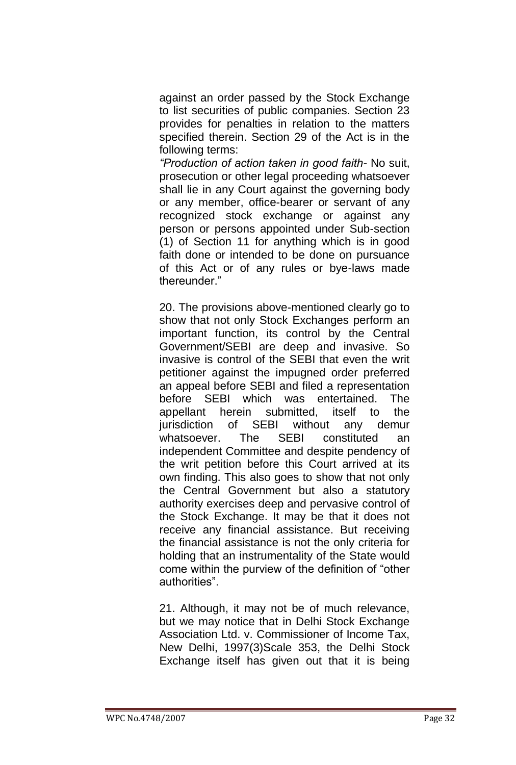against an order passed by the Stock Exchange to list securities of public companies. Section 23 provides for penalties in relation to the matters specified therein. Section 29 of the Act is in the following terms:

*"Production of action taken in good faith-* No suit, prosecution or other legal proceeding whatsoever shall lie in any Court against the governing body or any member, office-bearer or servant of any recognized stock exchange or against any person or persons appointed under Sub-section (1) of Section 11 for anything which is in good faith done or intended to be done on pursuance of this Act or of any rules or bye-laws made thereunder.‖

20. The provisions above-mentioned clearly go to show that not only Stock Exchanges perform an important function, its control by the Central Government/SEBI are deep and invasive. So invasive is control of the SEBI that even the writ petitioner against the impugned order preferred an appeal before SEBI and filed a representation before SEBI which was entertained. The appellant herein submitted, itself to the jurisdiction of SEBI without any demur whatsoever. The SEBI constituted an independent Committee and despite pendency of the writ petition before this Court arrived at its own finding. This also goes to show that not only the Central Government but also a statutory authority exercises deep and pervasive control of the Stock Exchange. It may be that it does not receive any financial assistance. But receiving the financial assistance is not the only criteria for holding that an instrumentality of the State would come within the purview of the definition of "other authorities".

21. Although, it may not be of much relevance, but we may notice that in Delhi Stock Exchange Association Ltd. v. Commissioner of Income Tax, New Delhi, 1997(3)Scale 353, the Delhi Stock Exchange itself has given out that it is being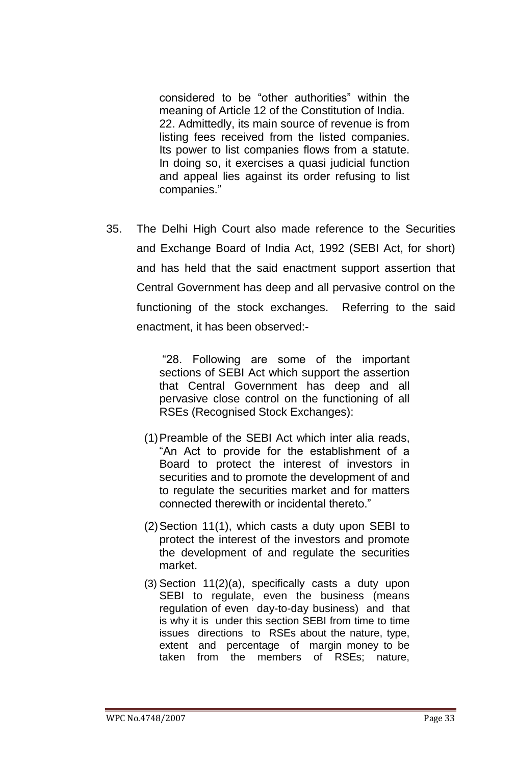considered to be "other authorities" within the meaning of Article 12 of the Constitution of India. 22. Admittedly, its main source of revenue is from listing fees received from the listed companies. Its power to list companies flows from a statute. In doing so, it exercises a quasi judicial function and appeal lies against its order refusing to list companies."

35. The Delhi High Court also made reference to the Securities and Exchange Board of India Act, 1992 (SEBI Act, for short) and has held that the said enactment support assertion that Central Government has deep and all pervasive control on the functioning of the stock exchanges. Referring to the said enactment, it has been observed:-

> ―28. Following are some of the important sections of SEBI Act which support the assertion that Central Government has deep and all pervasive close control on the functioning of all RSEs (Recognised Stock Exchanges):

- (1)Preamble of the SEBI Act which inter alia reads, "An Act to provide for the establishment of a Board to protect the interest of investors in securities and to promote the development of and to regulate the securities market and for matters connected therewith or incidental thereto."
- (2)Section 11(1), which casts a duty upon SEBI to protect the interest of the investors and promote the development of and regulate the securities market.
- (3) Section 11(2)(a), specifically casts a duty upon SEBI to regulate, even the business (means regulation of even day-to-day business) and that is why it is under this section SEBI from time to time issues directions to RSEs about the nature, type, extent and percentage of margin money to be taken from the members of RSEs; nature,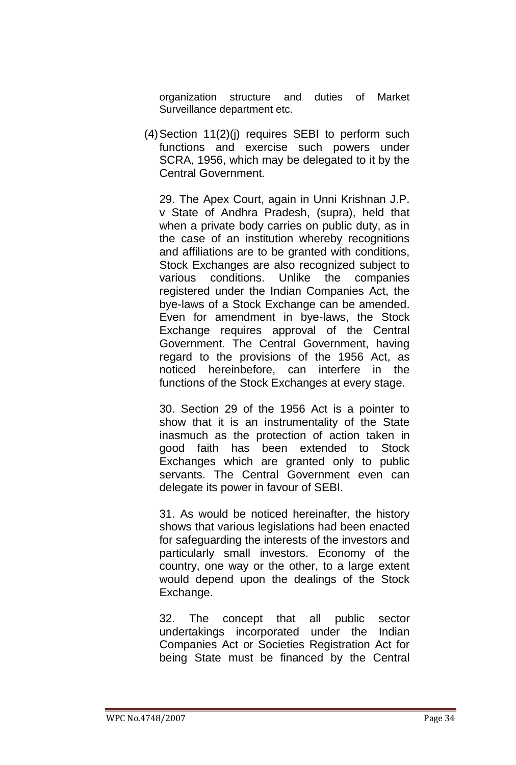organization structure and duties of Market Surveillance department etc.

(4)Section 11(2)(j) requires SEBI to perform such functions and exercise such powers under SCRA, 1956, which may be delegated to it by the Central Government.

29. The Apex Court, again in Unni Krishnan J.P. v State of Andhra Pradesh, (supra), held that when a private body carries on public duty, as in the case of an institution whereby recognitions and affiliations are to be granted with conditions, Stock Exchanges are also recognized subject to various conditions. Unlike the companies registered under the Indian Companies Act, the bye-laws of a Stock Exchange can be amended. Even for amendment in bye-laws, the Stock Exchange requires approval of the Central Government. The Central Government, having regard to the provisions of the 1956 Act, as noticed hereinbefore, can interfere in the functions of the Stock Exchanges at every stage.

30. Section 29 of the 1956 Act is a pointer to show that it is an instrumentality of the State inasmuch as the protection of action taken in good faith has been extended to Stock Exchanges which are granted only to public servants. The Central Government even can delegate its power in favour of SEBI.

31. As would be noticed hereinafter, the history shows that various legislations had been enacted for safeguarding the interests of the investors and particularly small investors. Economy of the country, one way or the other, to a large extent would depend upon the dealings of the Stock Exchange.

32. The concept that all public sector undertakings incorporated under the Indian Companies Act or Societies Registration Act for being State must be financed by the Central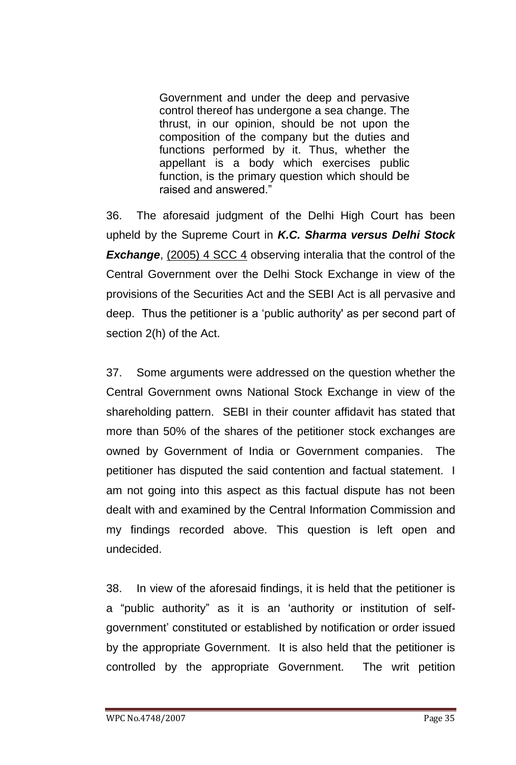Government and under the deep and pervasive control thereof has undergone a sea change. The thrust, in our opinion, should be not upon the composition of the company but the duties and functions performed by it. Thus, whether the appellant is a body which exercises public function, is the primary question which should be raised and answered."

36. The aforesaid judgment of the Delhi High Court has been upheld by the Supreme Court in *K.C. Sharma versus Delhi Stock*  **Exchange**, (2005) 4 SCC 4 observing interalia that the control of the Central Government over the Delhi Stock Exchange in view of the provisions of the Securities Act and the SEBI Act is all pervasive and deep. Thus the petitioner is a 'public authority' as per second part of section 2(h) of the Act.

37. Some arguments were addressed on the question whether the Central Government owns National Stock Exchange in view of the shareholding pattern. SEBI in their counter affidavit has stated that more than 50% of the shares of the petitioner stock exchanges are owned by Government of India or Government companies. The petitioner has disputed the said contention and factual statement. I am not going into this aspect as this factual dispute has not been dealt with and examined by the Central Information Commission and my findings recorded above. This question is left open and undecided.

38. In view of the aforesaid findings, it is held that the petitioner is a "public authority" as it is an 'authority or institution of selfgovernment' constituted or established by notification or order issued by the appropriate Government. It is also held that the petitioner is controlled by the appropriate Government. The writ petition